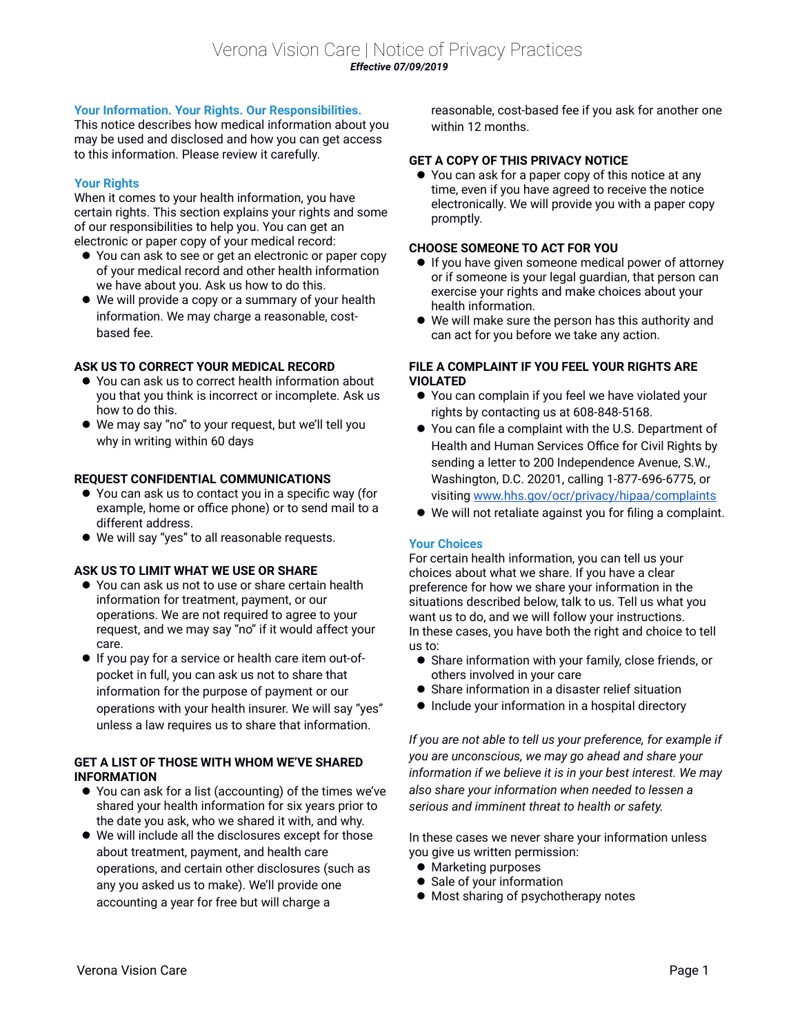# **Your Information. Your Rights. Our Responsibilities.**

This notice describes how medical information about you may be used and disclosed and how you can get access to this information. Please review it carefully.

# **Your Rights**

When it comes to your health information, you have certain rights. This section explains your rights and some of our responsibilities to help you. You can get an electronic or paper copy of your medical record:

- You can ask to see or get an electronic or paper copy of your medical record and other health information we have about you. Ask us how to do this.
- We will provide a copy or a summary of your health information. We may charge a reasonable, costbased fee.

# **ASK US TO CORRECT YOUR MEDICAL RECORD**

- You can ask us to correct health information about you that you think is incorrect or incomplete. Ask us how to do this.
- We may say "no" to your request, but we'll tell you why in writing within 60 days

## **REQUEST CONFIDENTIAL COMMUNICATIONS**

- You can ask us to contact you in a specific way (for example, home or office phone) or to send mail to a different address.
- We will say "yes" to all reasonable requests.

## **ASK US TO LIMIT WHAT WE USE OR SHARE**

- You can ask us not to use or share certain health information for treatment, payment, or our operations. We are not required to agree to your request, and we may say "no" if it would affect your care.
- If you pay for a service or health care item out-ofpocket in full, you can ask us not to share that information for the purpose of payment or our operations with your health insurer. We will say "yes" unless a law requires us to share that information.

## **GET A LIST OF THOSE WITH WHOM WE'VE SHARED INFORMATION**

- You can ask for a list (accounting) of the times we've shared your health information for six years prior to the date you ask, who we shared it with, and why.
- We will include all the disclosures except for those about treatment, payment, and health care operations, and certain other disclosures (such as any you asked us to make). We'll provide one accounting a year for free but will charge a

reasonable, cost-based fee if you ask for another one within 12 months.

# **GET A COPY OF THIS PRIVACY NOTICE**

● You can ask for a paper copy of this notice at any time, even if you have agreed to receive the notice electronically. We will provide you with a paper copy promptly.

### **CHOOSE SOMEONE TO ACT FOR YOU**

- **If you have given someone medical power of attorney** or if someone is your legal guardian, that person can exercise your rights and make choices about your health information.
- We will make sure the person has this authority and can act for you before we take any action.

# **FILE A COMPLAINT IF YOU FEEL YOUR RIGHTS ARE VIOLATED**

- You can complain if you feel we have violated your rights by contacting us at 608-848-5168.
- You can file a complaint with the U.S. Department of Health and Human Services Office for Civil Rights by sending a letter to 200 Independence Avenue, S.W., Washington, D.C. 20201, calling 1-877-696-6775, or visiting [www.hhs.gov/ocr/privacy/hipaa/complaints](http://www.hhs.gov/ocr/privacy/hipaa/complaints)
- We will not retaliate against you for filing a complaint.

## **Your Choices**

For certain health information, you can tell us your choices about what we share. If you have a clear preference for how we share your information in the situations described below, talk to us. Tell us what you want us to do, and we will follow your instructions. In these cases, you have both the right and choice to tell us to:

- Share information with your family, close friends, or others involved in your care
- Share information in a disaster relief situation
- Include your information in a hospital directory

*If you are not able to tell us your preference, for example if you are unconscious, we may go ahead and share your information if we believe it is in your best interest. We may also share your information when needed to lessen a serious and imminent threat to health or safety.*

In these cases we never share your information unless you give us written permission:

- **•** Marketing purposes
- Sale of your information
- $\bullet$  Most sharing of psychotherapy notes